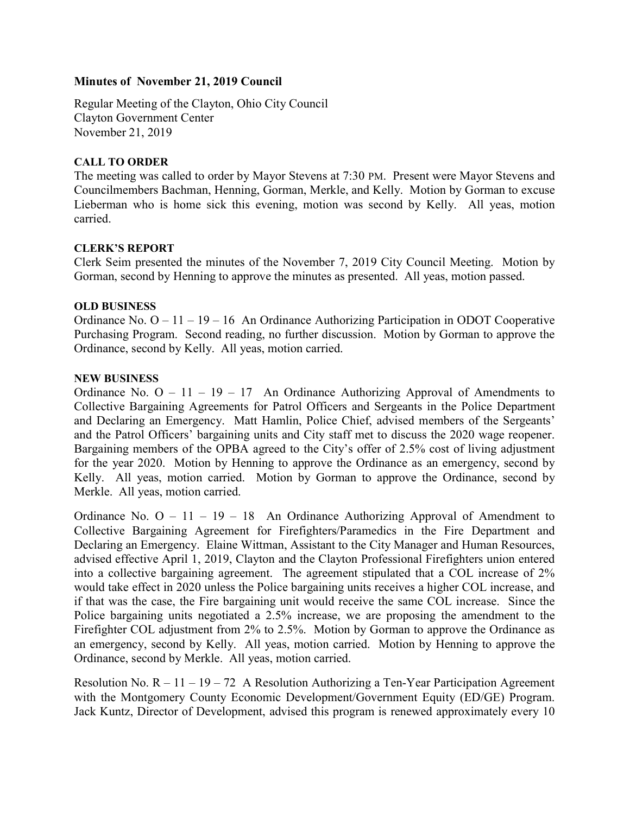# Minutes of November 21, 2019 Council

Regular Meeting of the Clayton, Ohio City Council Clayton Government Center November 21, 2019

# CALL TO ORDER

The meeting was called to order by Mayor Stevens at 7:30 PM. Present were Mayor Stevens and Councilmembers Bachman, Henning, Gorman, Merkle, and Kelly. Motion by Gorman to excuse Lieberman who is home sick this evening, motion was second by Kelly. All yeas, motion carried.

#### CLERK'S REPORT

Clerk Seim presented the minutes of the November 7, 2019 City Council Meeting. Motion by Gorman, second by Henning to approve the minutes as presented. All yeas, motion passed.

#### OLD BUSINESS

Ordinance No. O – 11 – 19 – 16 An Ordinance Authorizing Participation in ODOT Cooperative Purchasing Program. Second reading, no further discussion. Motion by Gorman to approve the Ordinance, second by Kelly. All yeas, motion carried.

# NEW BUSINESS

Ordinance No.  $O - 11 - 19 - 17$  An Ordinance Authorizing Approval of Amendments to Collective Bargaining Agreements for Patrol Officers and Sergeants in the Police Department and Declaring an Emergency. Matt Hamlin, Police Chief, advised members of the Sergeants' and the Patrol Officers' bargaining units and City staff met to discuss the 2020 wage reopener. Bargaining members of the OPBA agreed to the City's offer of 2.5% cost of living adjustment for the year 2020. Motion by Henning to approve the Ordinance as an emergency, second by Kelly. All yeas, motion carried. Motion by Gorman to approve the Ordinance, second by Merkle. All yeas, motion carried.

Ordinance No.  $O - 11 - 19 - 18$  An Ordinance Authorizing Approval of Amendment to Collective Bargaining Agreement for Firefighters/Paramedics in the Fire Department and Declaring an Emergency. Elaine Wittman, Assistant to the City Manager and Human Resources, advised effective April 1, 2019, Clayton and the Clayton Professional Firefighters union entered into a collective bargaining agreement. The agreement stipulated that a COL increase of 2% would take effect in 2020 unless the Police bargaining units receives a higher COL increase, and if that was the case, the Fire bargaining unit would receive the same COL increase. Since the Police bargaining units negotiated a 2.5% increase, we are proposing the amendment to the Firefighter COL adjustment from 2% to 2.5%. Motion by Gorman to approve the Ordinance as an emergency, second by Kelly. All yeas, motion carried. Motion by Henning to approve the Ordinance, second by Merkle. All yeas, motion carried.

Resolution No.  $R - 11 - 19 - 72$  A Resolution Authorizing a Ten-Year Participation Agreement with the Montgomery County Economic Development/Government Equity (ED/GE) Program. Jack Kuntz, Director of Development, advised this program is renewed approximately every 10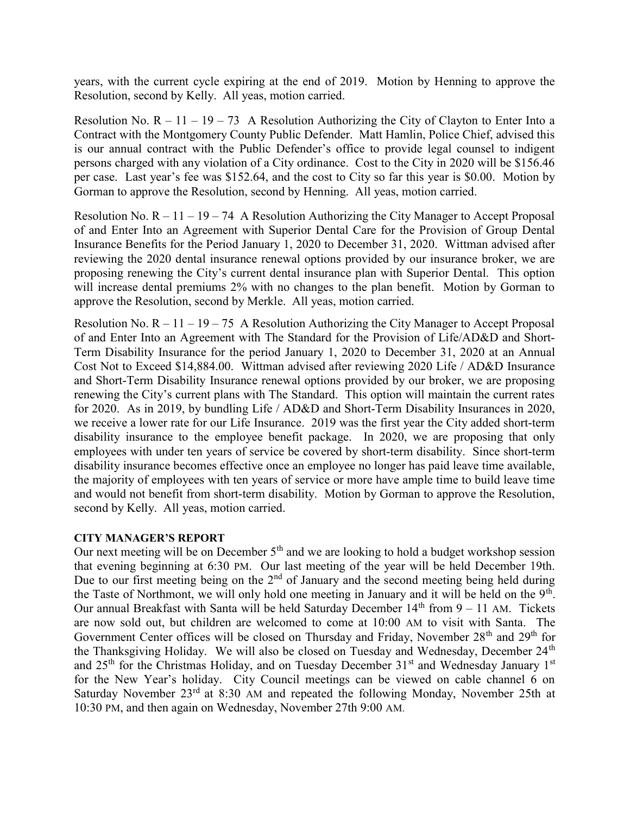years, with the current cycle expiring at the end of 2019. Motion by Henning to approve the Resolution, second by Kelly. All yeas, motion carried.

Resolution No.  $R - 11 - 19 - 73$  A Resolution Authorizing the City of Clayton to Enter Into a Contract with the Montgomery County Public Defender. Matt Hamlin, Police Chief, advised this is our annual contract with the Public Defender's office to provide legal counsel to indigent persons charged with any violation of a City ordinance. Cost to the City in 2020 will be \$156.46 per case. Last year's fee was \$152.64, and the cost to City so far this year is \$0.00. Motion by Gorman to approve the Resolution, second by Henning. All yeas, motion carried.

Resolution No.  $R - 11 - 19 - 74$  A Resolution Authorizing the City Manager to Accept Proposal of and Enter Into an Agreement with Superior Dental Care for the Provision of Group Dental Insurance Benefits for the Period January 1, 2020 to December 31, 2020. Wittman advised after reviewing the 2020 dental insurance renewal options provided by our insurance broker, we are proposing renewing the City's current dental insurance plan with Superior Dental. This option will increase dental premiums 2% with no changes to the plan benefit. Motion by Gorman to approve the Resolution, second by Merkle. All yeas, motion carried.

Resolution No.  $R - 11 - 19 - 75$  A Resolution Authorizing the City Manager to Accept Proposal of and Enter Into an Agreement with The Standard for the Provision of Life/AD&D and Short-Term Disability Insurance for the period January 1, 2020 to December 31, 2020 at an Annual Cost Not to Exceed \$14,884.00. Wittman advised after reviewing 2020 Life / AD&D Insurance and Short-Term Disability Insurance renewal options provided by our broker, we are proposing renewing the City's current plans with The Standard. This option will maintain the current rates for 2020. As in 2019, by bundling Life / AD&D and Short-Term Disability Insurances in 2020, we receive a lower rate for our Life Insurance. 2019 was the first year the City added short-term disability insurance to the employee benefit package. In 2020, we are proposing that only employees with under ten years of service be covered by short-term disability. Since short-term disability insurance becomes effective once an employee no longer has paid leave time available, the majority of employees with ten years of service or more have ample time to build leave time and would not benefit from short-term disability. Motion by Gorman to approve the Resolution, second by Kelly. All yeas, motion carried.

# CITY MANAGER'S REPORT

Our next meeting will be on December  $5<sup>th</sup>$  and we are looking to hold a budget workshop session that evening beginning at 6:30 PM. Our last meeting of the year will be held December 19th. Due to our first meeting being on the  $2<sup>nd</sup>$  of January and the second meeting being held during the Taste of Northmont, we will only hold one meeting in January and it will be held on the  $9<sup>th</sup>$ . Our annual Breakfast with Santa will be held Saturday December  $14<sup>th</sup>$  from  $9 - 11$  AM. Tickets are now sold out, but children are welcomed to come at 10:00 AM to visit with Santa. The Government Center offices will be closed on Thursday and Friday, November 28<sup>th</sup> and 29<sup>th</sup> for the Thanksgiving Holiday. We will also be closed on Tuesday and Wednesday, December 24<sup>th</sup> and  $25<sup>th</sup>$  for the Christmas Holiday, and on Tuesday December 31<sup>st</sup> and Wednesday January 1<sup>st</sup> for the New Year's holiday. City Council meetings can be viewed on cable channel 6 on Saturday November 23<sup>rd</sup> at 8:30 AM and repeated the following Monday, November 25th at 10:30 PM, and then again on Wednesday, November 27th 9:00 AM.